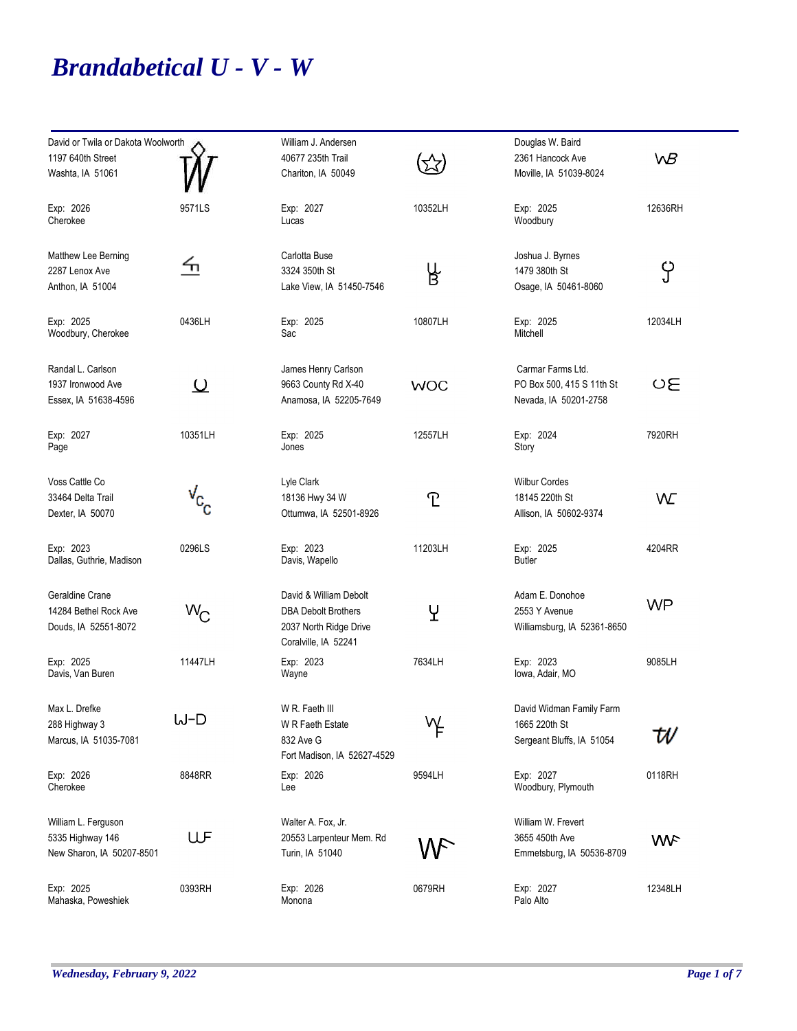## *Brandabetical U - V - W*

| David or Twila or Dakota Woolworth<br>1197 640th Street<br>Washta, IA 51061 |                                  | William J. Andersen<br>40677 235th Trail<br>Chariton, IA 50049                                         |            | Douglas W. Baird<br>2361 Hancock Ave<br>Moville, IA 51039-8024          | WB         |
|-----------------------------------------------------------------------------|----------------------------------|--------------------------------------------------------------------------------------------------------|------------|-------------------------------------------------------------------------|------------|
| Exp: 2026<br>Cherokee                                                       | 9571LS                           | Exp: 2027<br>Lucas                                                                                     | 10352LH    | Exp: 2025<br>Woodbury                                                   | 12636RH    |
| Matthew Lee Berning<br>2287 Lenox Ave<br>Anthon, IA 51004                   | ℆                                | Carlotta Buse<br>3324 350th St<br>Lake View, IA 51450-7546                                             | ዜ<br>Β     | Joshua J. Byrnes<br>1479 380th St<br>Osage, IA 50461-8060               | ၦ          |
| Exp: 2025<br>Woodbury, Cherokee                                             | 0436LH                           | Exp: 2025<br>Sac                                                                                       | 10807LH    | Exp: 2025<br>Mitchell                                                   | 12034LH    |
| Randal L. Carlson<br>1937 Ironwood Ave<br>Essex, IA 51638-4596              | <u>ଠ</u>                         | James Henry Carlson<br>9663 County Rd X-40<br>Anamosa, IA 52205-7649                                   | <b>WOC</b> | Carmar Farms Ltd.<br>PO Box 500, 415 S 11th St<br>Nevada, IA 50201-2758 | OΕ         |
| Exp: 2027<br>Page                                                           | 10351LH                          | Exp: 2025<br>Jones                                                                                     | 12557LH    | Exp: 2024<br>Story                                                      | 7920RH     |
| Voss Cattle Co<br>33464 Delta Trail<br>Dexter, IA 50070                     | $\sqrt{\mathrm{c}}^{\mathrm{C}}$ | Lyle Clark<br>18136 Hwy 34 W<br>Ottumwa, IA 52501-8926                                                 | <u>ፐ</u>   | <b>Wilbur Cordes</b><br>18145 220th St<br>Allison, IA 50602-9374        | W          |
| Exp: 2023<br>Dallas, Guthrie, Madison                                       | 0296LS                           | Exp: 2023<br>Davis, Wapello                                                                            | 11203LH    | Exp: 2025<br><b>Butler</b>                                              | 4204RR     |
| Geraldine Crane<br>14284 Bethel Rock Ave<br>Douds, IA 52551-8072            | $W_{\rm C}$                      | David & William Debolt<br><b>DBA Debolt Brothers</b><br>2037 North Ridge Drive<br>Coralville, IA 52241 | Y          | Adam E. Donohoe<br>2553 Y Avenue<br>Williamsburg, IA 52361-8650         | <b>WP</b>  |
| Exp: 2025<br>Davis, Van Buren                                               | 11447LH                          | Exp: 2023<br>Wayne                                                                                     | 7634LH     | Exp: 2023<br>lowa, Adair, MO                                            | 9085LH     |
| Max L. Drefke<br>288 Highway 3<br>Marcus, IA 51035-7081                     | W-D                              | W R. Faeth III<br>W R Faeth Estate<br>832 Ave G<br>Fort Madison, IA 52627-4529                         | γŁ         | David Widman Family Farm<br>1665 220th St<br>Sergeant Bluffs, IA 51054  | W          |
| Exp: 2026<br>Cherokee                                                       | 8848RR                           | Exp: 2026<br>Lee                                                                                       | 9594LH     | Exp: 2027<br>Woodbury, Plymouth                                         | 0118RH     |
| William L. Ferguson<br>5335 Highway 146<br>New Sharon, IA 50207-8501        | UF                               | Walter A. Fox, Jr.<br>20553 Larpenteur Mem. Rd<br>Turin, IA 51040                                      |            | William W. Frevert<br>3655 450th Ave<br>Emmetsburg, IA 50536-8709       | <b>WVF</b> |
| Exp: 2025<br>Mahaska, Poweshiek                                             | 0393RH                           | Exp: 2026<br>Monona                                                                                    | 0679RH     | Exp: 2027<br>Palo Alto                                                  | 12348LH    |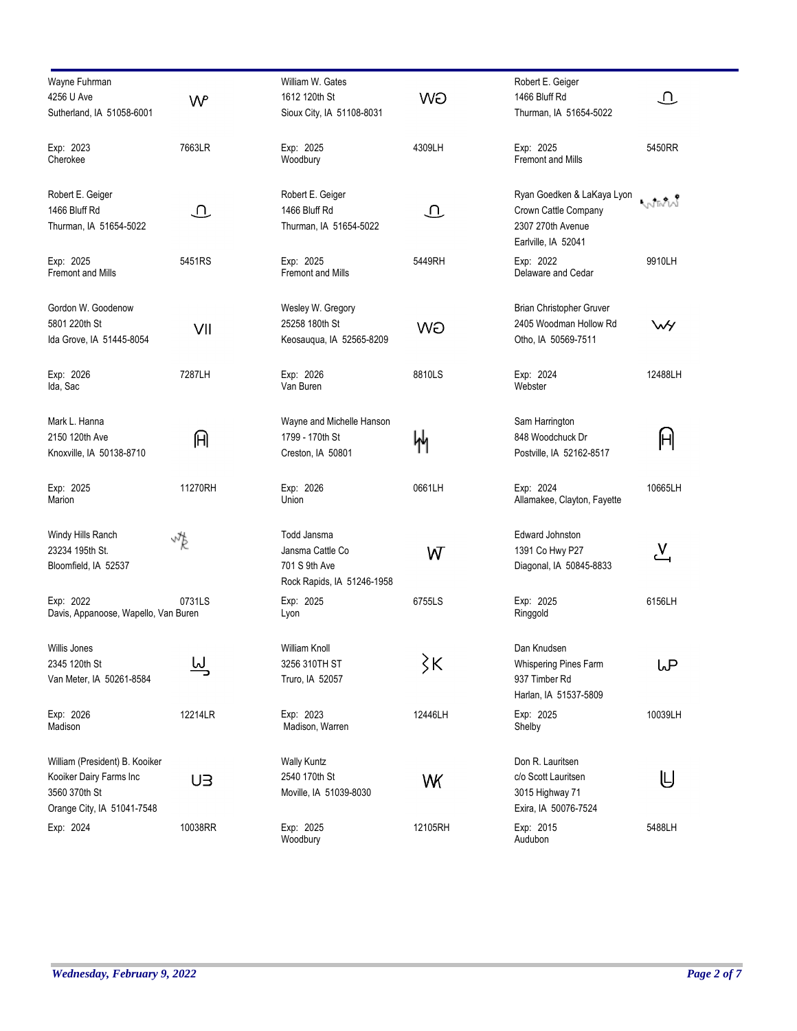| Wayne Fuhrman                        |                            | William W. Gates               |                            | Robert E. Geiger                |                  |
|--------------------------------------|----------------------------|--------------------------------|----------------------------|---------------------------------|------------------|
| 4256 U Ave                           | W                          | 1612 120th St                  | <b>WO</b>                  | 1466 Bluff Rd                   | $\mathbf \Omega$ |
| Sutherland, IA 51058-6001            |                            | Sioux City, IA 51108-8031      |                            | Thurman, IA 51654-5022          |                  |
|                                      |                            |                                |                            |                                 |                  |
| Exp: 2023                            | 7663LR                     | Exp: 2025                      | 4309LH                     | Exp: 2025                       | 5450RR           |
| Cherokee                             |                            | Woodbury                       |                            | <b>Fremont and Mills</b>        |                  |
|                                      |                            |                                |                            |                                 |                  |
| Robert E. Geiger                     |                            | Robert E. Geiger               |                            | Ryan Goedken & LaKaya Lyon      |                  |
| 1466 Bluff Rd                        | $\mathop{\mathrm{\Omega}}$ | 1466 Bluff Rd                  | $\mathop{\mathrm{\Omega}}$ | Crown Cattle Company            | Wiw              |
| Thurman, IA 51654-5022               |                            | Thurman, IA 51654-5022         |                            | 2307 270th Avenue               |                  |
|                                      |                            |                                |                            | Earlville, IA 52041             |                  |
| Exp: 2025                            |                            |                                |                            |                                 |                  |
| <b>Fremont and Mills</b>             | 5451RS                     | Exp: 2025<br>Fremont and Mills | 5449RH                     | Exp: 2022<br>Delaware and Cedar | 9910LH           |
|                                      |                            |                                |                            |                                 |                  |
| Gordon W. Goodenow                   |                            | Wesley W. Gregory              |                            | Brian Christopher Gruver        |                  |
| 5801 220th St                        |                            | 25258 180th St                 |                            | 2405 Woodman Hollow Rd          | WY               |
| Ida Grove, IA 51445-8054             | VII                        | Keosauqua, IA 52565-8209       | WÐ                         | Otho, IA 50569-7511             |                  |
|                                      |                            |                                |                            |                                 |                  |
| Exp: 2026                            | 7287LH                     | Exp: 2026                      | 8810LS                     | Exp: 2024                       | 12488LH          |
| Ida, Sac                             |                            | Van Buren                      |                            | Webster                         |                  |
|                                      |                            |                                |                            |                                 |                  |
| Mark L. Hanna                        |                            | Wayne and Michelle Hanson      |                            | Sam Harrington                  |                  |
| 2150 120th Ave                       | 们                          | 1799 - 170th St                | 州                          | 848 Woodchuck Dr                | $\mathbb H$      |
| Knoxville, IA 50138-8710             |                            | Creston, IA 50801              |                            | Postville, IA 52162-8517        |                  |
|                                      |                            |                                |                            |                                 |                  |
| Exp: 2025                            | 11270RH                    | Exp: 2026                      | 0661LH                     | Exp: 2024                       | 10665LH          |
| Marion                               |                            | Union                          |                            | Allamakee, Clayton, Fayette     |                  |
|                                      |                            |                                |                            |                                 |                  |
| Windy Hills Ranch                    | vŖ                         | Todd Jansma                    |                            | Edward Johnston                 |                  |
| 23234 195th St.                      |                            | Jansma Cattle Co               | W                          | 1391 Co Hwy P27                 | 쓰                |
| Bloomfield, IA 52537                 |                            | 701 S 9th Ave                  |                            | Diagonal, IA 50845-8833         |                  |
|                                      |                            | Rock Rapids, IA 51246-1958     |                            |                                 |                  |
| Exp: 2022                            | 0731LS                     | Exp: 2025                      | 6755LS                     | Exp: 2025                       | 6156LH           |
| Davis, Appanoose, Wapello, Van Buren |                            | Lyon                           |                            | Ringgold                        |                  |
|                                      |                            |                                |                            |                                 |                  |
| Willis Jones                         |                            | William Knoll                  |                            | Dan Knudsen                     |                  |
| 2345 120th St                        | <u>سا</u>                  | 3256 310TH ST                  | $\zeta$ K                  | Whispering Pines Farm           | ιP               |
| Van Meter, IA 50261-8584             |                            | Truro, IA 52057                |                            | 937 Timber Rd                   |                  |
|                                      |                            |                                |                            | Harlan, IA 51537-5809           |                  |
| Exp: 2026                            | 12214LR                    | Exp: 2023                      | 12446LH                    | Exp: 2025                       | 10039LH          |
| Madison                              |                            | Madison, Warren                |                            | Shelby                          |                  |
|                                      |                            |                                |                            |                                 |                  |
| William (President) B. Kooiker       |                            | <b>Wally Kuntz</b>             |                            | Don R. Lauritsen                |                  |
| Kooiker Dairy Farms Inc              | UЗ                         | 2540 170th St                  | WK                         | c/o Scott Lauritsen             | U                |
| 3560 370th St                        |                            | Moville, IA 51039-8030         |                            | 3015 Highway 71                 |                  |
| Orange City, IA 51041-7548           |                            |                                |                            | Exira, IA 50076-7524            |                  |
| Exp: 2024                            | 10038RR                    | Exp: 2025                      | 12105RH                    | Exp: 2015                       | 5488LH           |
|                                      |                            | Woodbury                       |                            | Audubon                         |                  |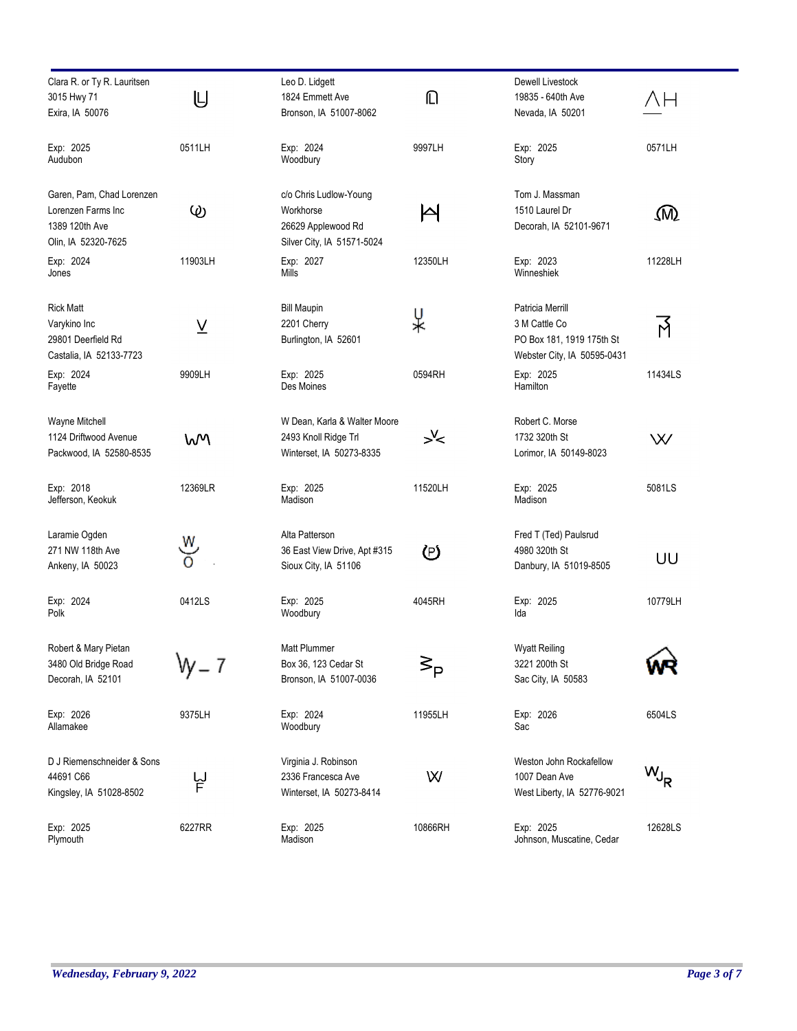| Clara R. or Ty R. Lauritsen<br>3015 Hwy 71<br>Exira, IA 50076                            | U              | Leo D. Lidgett<br>1824 Emmett Ave<br>Bronson, IA 51007-8062                             | ⋒        | Dewell Livestock<br>19835 - 640th Ave<br>Nevada, IA 50201                                     | ΛН        |
|------------------------------------------------------------------------------------------|----------------|-----------------------------------------------------------------------------------------|----------|-----------------------------------------------------------------------------------------------|-----------|
| Exp: 2025<br>Audubon                                                                     | 0511LH         | Exp: 2024<br>Woodbury                                                                   | 9997LH   | Exp: 2025<br>Story                                                                            | 0571LH    |
| Garen, Pam, Chad Lorenzen<br>Lorenzen Farms Inc<br>1389 120th Ave<br>Olin, IA 52320-7625 | $\circledcirc$ | c/o Chris Ludlow-Young<br>Workhorse<br>26629 Applewood Rd<br>Silver City, IA 51571-5024 | P        | Tom J. Massman<br>1510 Laurel Dr<br>Decorah, IA 52101-9671                                    | ⅏         |
| Exp: 2024<br>Jones                                                                       | 11903LH        | Exp: 2027<br>Mills                                                                      | 12350LH  | Exp: 2023<br>Winneshiek                                                                       | 11228LH   |
| <b>Rick Matt</b><br>Varykino Inc<br>29801 Deerfield Rd<br>Castalia, IA 52133-7723        | <u>V</u>       | <b>Bill Maupin</b><br>2201 Cherry<br>Burlington, IA 52601                               | ¥        | Patricia Merrill<br>3 M Cattle Co<br>PO Box 181, 1919 175th St<br>Webster City, IA 50595-0431 | 了         |
| Exp: 2024<br>Fayette                                                                     | 9909LH         | Exp: 2025<br>Des Moines                                                                 | 0594RH   | Exp: 2025<br>Hamilton                                                                         | 11434LS   |
| Wayne Mitchell<br>1124 Driftwood Avenue<br>Packwood, IA 52580-8535                       | W٧             | W Dean, Karla & Walter Moore<br>2493 Knoll Ridge Trl<br>Winterset, IA 50273-8335        | $\geq 1$ | Robert C. Morse<br>1732 320th St<br>Lorimor, IA 50149-8023                                    | W         |
| Exp: 2018<br>Jefferson, Keokuk                                                           | 12369LR        | Exp: 2025<br>Madison                                                                    | 11520LH  | Exp: 2025<br>Madison                                                                          | 5081LS    |
| Laramie Ogden<br>271 NW 118th Ave<br>Ankeny, IA 50023                                    | w<br>ŏ         | Alta Patterson<br>36 East View Drive, Apt #315<br>Sioux City, IA 51106                  | D        | Fred T (Ted) Paulsrud<br>4980 320th St<br>Danbury, IA 51019-8505                              | UU        |
| Exp: 2024<br>Polk                                                                        | 0412LS         | Exp: 2025<br>Woodbury                                                                   | 4045RH   | Exp: 2025<br>Ida                                                                              | 10779LH   |
| Robert & Mary Pietan<br>3480 Old Bridge Road<br>Decorah, IA 52101                        |                | Matt Plummer<br>Box 36, 123 Cedar St<br>Bronson, IA 51007-0036                          | ∕ ><br>P | <b>Wyatt Reiling</b><br>3221 200th St<br>Sac City, IA 50583                                   |           |
| Exp: 2026<br>Allamakee                                                                   | 9375LH         | Exp: 2024<br>Woodbury                                                                   | 11955LH  | Exp: 2026<br>Sac                                                                              | 6504LS    |
| D J Riemenschneider & Sons<br>44691 C66<br>Kingsley, IA 51028-8502                       | 닡              | Virginia J. Robinson<br>2336 Francesca Ave<br>Winterset, IA 50273-8414                  | W        | Weston John Rockafellow<br>1007 Dean Ave<br>West Liberty, IA 52776-9021                       | $W_{J_R}$ |
| Exp: 2025<br>Plymouth                                                                    | 6227RR         | Exp: 2025<br>Madison                                                                    | 10866RH  | Exp: 2025<br>Johnson, Muscatine, Cedar                                                        | 12628LS   |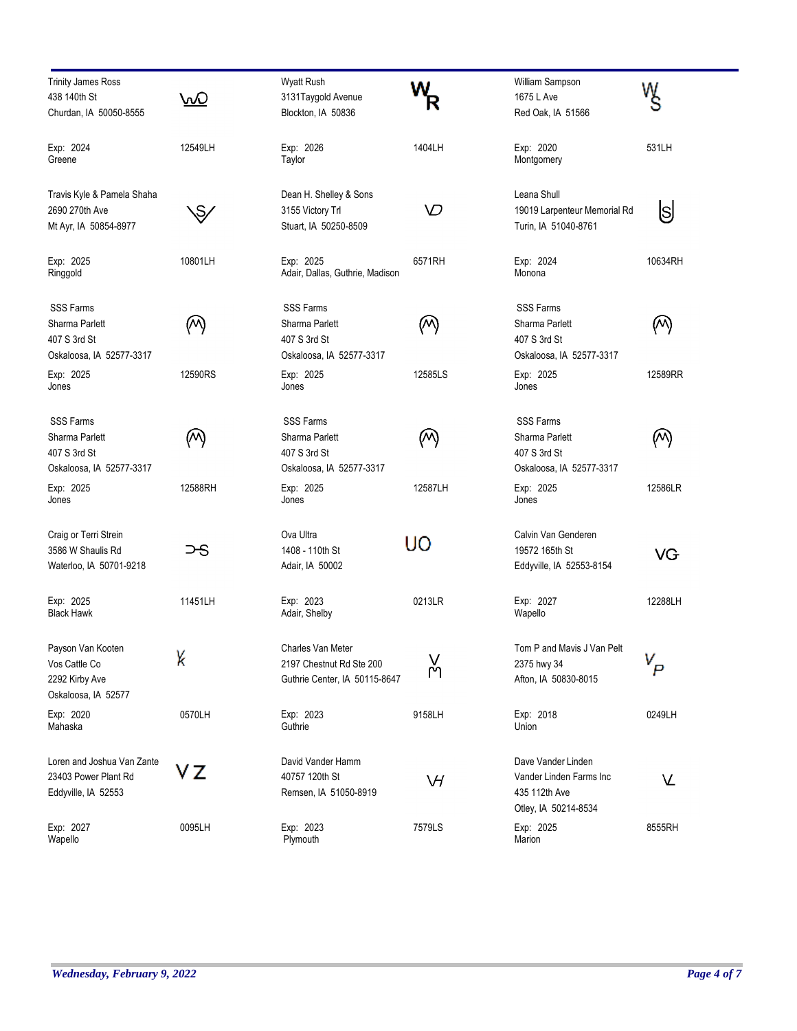| <b>Trinity James Ross</b><br>438 140th St<br>Churdan, IA 50050-8555            | <u>\∧⊘</u>    | Wyatt Rush<br>3131Taygold Avenue<br>Blockton, IA 50836                         |           | William Sampson<br>1675 L Ave<br>Red Oak, IA 51566                                     | w          |
|--------------------------------------------------------------------------------|---------------|--------------------------------------------------------------------------------|-----------|----------------------------------------------------------------------------------------|------------|
| Exp: 2024<br>Greene                                                            | 12549LH       | Exp: 2026<br>Taylor                                                            | 1404LH    | Exp: 2020<br>Montgomery                                                                | 531LH      |
| Travis Kyle & Pamela Shaha<br>2690 270th Ave<br>Mt Ayr, IA 50854-8977          | $\mathcal{S}$ | Dean H. Shelley & Sons<br>3155 Victory Trl<br>Stuart, IA 50250-8509            | ∨         | Leana Shull<br>19019 Larpenteur Memorial Rd<br>Turin, IA 51040-8761                    | S          |
| Exp: 2025<br>Ringgold                                                          | 10801LH       | Exp: 2025<br>Adair, Dallas, Guthrie, Madison                                   | 6571RH    | Exp: 2024<br>Monona                                                                    | 10634RH    |
| <b>SSS Farms</b><br>Sharma Parlett<br>407 S 3rd St<br>Oskaloosa, IA 52577-3317 | (M)           | <b>SSS Farms</b><br>Sharma Parlett<br>407 S 3rd St<br>Oskaloosa, IA 52577-3317 | (M)       | <b>SSS Farms</b><br>Sharma Parlett<br>407 S 3rd St<br>Oskaloosa, IA 52577-3317         | $(\wedge)$ |
| Exp: 2025<br>Jones                                                             | 12590RS       | Exp: 2025<br>Jones                                                             | 12585LS   | Exp: 2025<br>Jones                                                                     | 12589RR    |
| <b>SSS Farms</b><br>Sharma Parlett<br>407 S 3rd St<br>Oskaloosa, IA 52577-3317 | (M)           | <b>SSS Farms</b><br>Sharma Parlett<br>407 S 3rd St<br>Oskaloosa, IA 52577-3317 | (M)       | <b>SSS Farms</b><br>Sharma Parlett<br>407 S 3rd St<br>Oskaloosa, IA 52577-3317         | (M)        |
| Exp: 2025<br>Jones                                                             | 12588RH       | Exp: 2025<br>Jones                                                             | 12587LH   | Exp: 2025<br>Jones                                                                     | 12586LR    |
| Craig or Terri Strein<br>3586 W Shaulis Rd<br>Waterloo, IA 50701-9218          | ⊃-S           | Ova Ultra<br>1408 - 110th St<br>Adair, IA 50002                                | UO        | Calvin Van Genderen<br>19572 165th St<br>Eddyville, IA 52553-8154                      | VG         |
| Exp: 2025<br><b>Black Hawk</b>                                                 | 11451LH       | Exp: 2023<br>Adair, Shelby                                                     | 0213LR    | Exp: 2027<br>Wapello                                                                   | 12288LH    |
| Payson Van Kooten<br>Vos Cattle Co<br>2292 Kirby Ave<br>Oskaloosa, IA 52577    | γ             | Charles Van Meter<br>2197 Chestnut Rd Ste 200<br>Guthrie Center, IA 50115-8647 | V<br>M٦   | Tom P and Mavis J Van Pelt<br>2375 hwy 34<br>Afton, IA 50830-8015                      |            |
| Exp: 2020<br>Mahaska                                                           | 0570LH        | Exp: 2023<br>Guthrie                                                           | 9158LH    | Exp: 2018<br>Union                                                                     | 0249LH     |
| Loren and Joshua Van Zante<br>23403 Power Plant Rd<br>Eddyville, IA 52553      | VΖ            | David Vander Hamm<br>40757 120th St<br>Remsen, IA 51050-8919                   | $\forall$ | Dave Vander Linden<br>Vander Linden Farms Inc<br>435 112th Ave<br>Otley, IA 50214-8534 | V          |
| Exp: 2027<br>Wapello                                                           | 0095LH        | Exp: 2023<br>Plymouth                                                          | 7579LS    | Exp: 2025<br>Marion                                                                    | 8555RH     |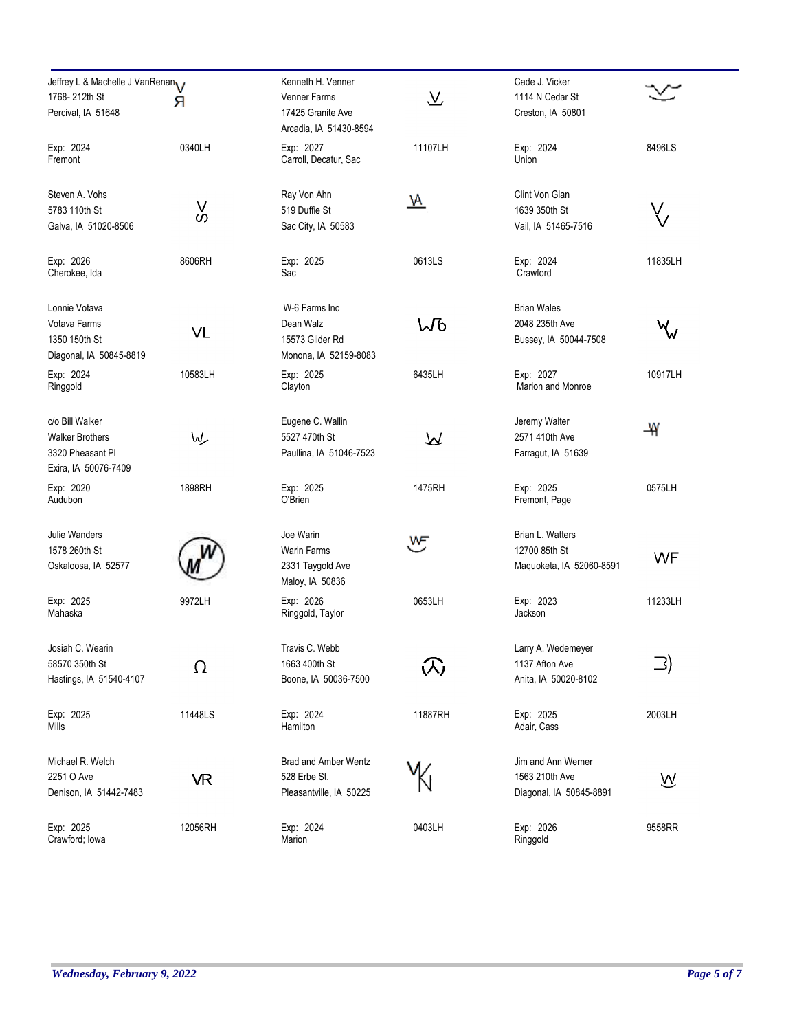| Jeffrey L & Machelle J VanRenan<br>1768-212th St<br>Percival, IA 51648                | я           | Kenneth H. Venner<br>Venner Farms<br>17425 Granite Ave                 | $\overline{\mathcal{X}}$ | Cade J. Vicker<br>1114 N Cedar St<br>Creston, IA 50801          |           |
|---------------------------------------------------------------------------------------|-------------|------------------------------------------------------------------------|--------------------------|-----------------------------------------------------------------|-----------|
| Exp: 2024<br>Fremont                                                                  | 0340LH      | Arcadia, IA 51430-8594<br>Exp: 2027<br>Carroll, Decatur, Sac           | 11107LH                  | Exp: 2024<br>Union                                              | 8496LS    |
| Steven A. Vohs<br>5783 110th St<br>Galva, IA 51020-8506                               | $\vee$<br>S | Ray Von Ahn<br>519 Duffie St<br>Sac City, IA 50583                     | <u> ਅ</u>                | Clint Von Glan<br>1639 350th St<br>Vail, IA 51465-7516          | $\bigvee$ |
| Exp: 2026<br>Cherokee, Ida                                                            | 8606RH      | Exp: 2025<br>Sac                                                       | 0613LS                   | Exp: 2024<br>Crawford                                           | 11835LH   |
| Lonnie Votava<br>Votava Farms<br>1350 150th St<br>Diagonal, IA 50845-8819             | VL          | W-6 Farms Inc<br>Dean Walz<br>15573 Glider Rd<br>Monona, IA 52159-8083 | ႱႪ                       | <b>Brian Wales</b><br>2048 235th Ave<br>Bussey, IA 50044-7508   | $\forall$ |
| Exp: 2024<br>Ringgold                                                                 | 10583LH     | Exp: 2025<br>Clayton                                                   | 6435LH                   | Exp: 2027<br>Marion and Monroe                                  | 10917LH   |
| c/o Bill Walker<br><b>Walker Brothers</b><br>3320 Pheasant Pl<br>Exira, IA 50076-7409 | مركعا       | Eugene C. Wallin<br>5527 470th St<br>Paullina, IA 51046-7523           | ₩                        | Jeremy Walter<br>2571 410th Ave<br>Farragut, IA 51639           | ₩         |
| Exp: 2020<br>Audubon                                                                  | 1898RH      | Exp: 2025<br>O'Brien                                                   | 1475RH                   | Exp: 2025<br>Fremont, Page                                      | 0575LH    |
| Julie Wanders<br>1578 260th St<br>Oskaloosa, IA 52577                                 |             | Joe Warin<br>Warin Farms<br>2331 Taygold Ave<br>Maloy, IA 50836        | రా                       | Brian L. Watters<br>12700 85th St<br>Maquoketa, IA 52060-8591   | WF        |
| Exp: 2025<br>Mahaska                                                                  | 9972LH      | Exp: 2026<br>Ringgold, Taylor                                          | 0653LH                   | Exp: 2023<br>Jackson                                            | 11233LH   |
| Josiah C. Wearin<br>58570 350th St<br>Hastings, IA 51540-4107                         | Ω           | Travis C. Webb<br>1663 400th St<br>Boone, IA 50036-7500                | $\mathcal{R}$            | Larry A. Wedemeyer<br>1137 Afton Ave<br>Anita, IA 50020-8102    | <b>□</b>  |
| Exp: 2025<br>Mills                                                                    | 11448LS     | Exp: 2024<br>Hamilton                                                  | 11887RH                  | Exp: 2025<br>Adair, Cass                                        | 2003LH    |
| Michael R. Welch<br>2251 O Ave<br>Denison, IA 51442-7483                              | VR          | <b>Brad and Amber Wentz</b><br>528 Erbe St.<br>Pleasantville, IA 50225 |                          | Jim and Ann Werner<br>1563 210th Ave<br>Diagonal, IA 50845-8891 | ⋓         |
| Exp: 2025<br>Crawford; lowa                                                           | 12056RH     | Exp: 2024<br>Marion                                                    | 0403LH                   | Exp: 2026<br>Ringgold                                           | 9558RR    |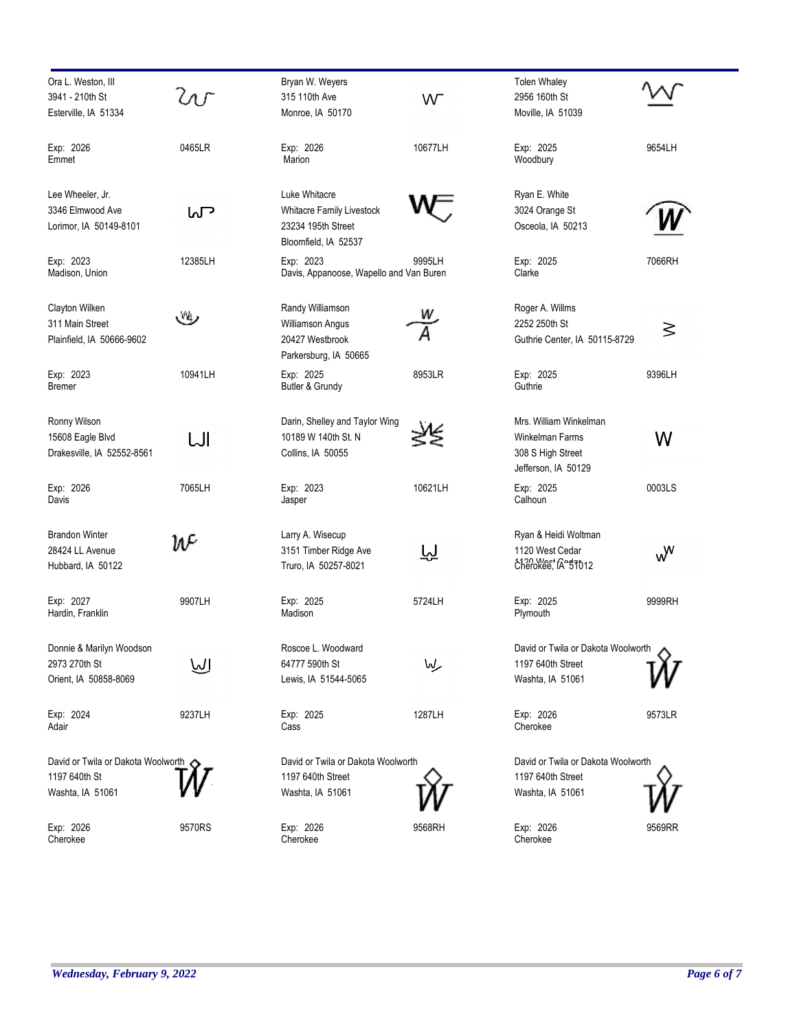| Ora L. Weston, III                         |         | Bryan W. Weyers                            |         | <b>Tolen Whaley</b>                      |                |
|--------------------------------------------|---------|--------------------------------------------|---------|------------------------------------------|----------------|
| 3941 - 210th St                            | ζnΓ     | 315 110th Ave                              | W       | 2956 160th St                            |                |
| Esterville, IA 51334                       |         | Monroe, IA 50170                           |         | Moville, IA 51039                        |                |
| Exp: 2026                                  | 0465LR  | Exp: 2026                                  | 10677LH | Exp: 2025                                | 9654LH         |
| Emmet                                      |         | Marion                                     |         | Woodbury                                 |                |
| Lee Wheeler, Jr.                           |         | Luke Whitacre                              |         | Ryan E. White                            |                |
| 3346 Elmwood Ave                           | ᡃ᠌᠕     | <b>Whitacre Family Livestock</b>           |         | 3024 Orange St                           |                |
| Lorimor, IA 50149-8101                     |         | 23234 195th Street<br>Bloomfield, IA 52537 |         | Osceola, IA 50213                        |                |
| Exp: 2023<br>Madison, Union                | 12385LH | Exp: 2023                                  | 9995LH  | Exp: 2025<br>Clarke                      | 7066RH         |
|                                            |         | Davis, Appanoose, Wapello and Van Buren    |         |                                          |                |
| Clayton Wilken                             | Vq,     | Randy Williamson                           |         | Roger A. Willms                          |                |
| 311 Main Street                            |         | <b>Williamson Angus</b>                    |         | 2252 250th St                            | ≶              |
| Plainfield, IA 50666-9602                  |         | 20427 Westbrook<br>Parkersburg, IA 50665   |         | Guthrie Center, IA 50115-8729            |                |
| Exp: 2023                                  | 10941LH | Exp: 2025                                  | 8953LR  | Exp: 2025                                | 9396LH         |
| <b>Bremer</b>                              |         | Butler & Grundy                            |         | Guthrie                                  |                |
| Ronny Wilson                               |         | Darin, Shelley and Taylor Wing             |         | Mrs. William Winkelman                   |                |
| 15608 Eagle Blvd                           | IJI     | 10189 W 140th St. N                        |         | Winkelman Farms                          | W              |
| Drakesville, IA 52552-8561                 |         | Collins, IA 50055                          |         | 308 S High Street<br>Jefferson, IA 50129 |                |
| Exp: 2026                                  | 7065LH  | Exp: 2023                                  | 10621LH | Exp: 2025                                | 0003LS         |
| Davis                                      |         | Jasper                                     |         | Calhoun                                  |                |
| <b>Brandon Winter</b>                      | W       | Larry A. Wisecup                           |         | Ryan & Heidi Woltman                     |                |
| 28424 LL Avenue                            |         | 3151 Timber Ridge Ave                      | 应       | 1120 West Cedar                          | w <sup>w</sup> |
| Hubbard, IA 50122                          |         | Truro, IA 50257-8021                       |         | cherokee, IA \$1012                      |                |
| Exp: 2027                                  | 9907LH  | Exp: 2025                                  | 5724LH  | Exp: 2025                                | 9999RH         |
| Hardin, Franklin                           |         | Madison                                    |         | Plymouth                                 |                |
| Donnie & Marilyn Woodson                   |         | Roscoe L. Woodward                         |         | David or Twila or Dakota Woolworth       |                |
| 2973 270th St                              | إلىرا   | 64777 590th St                             | مركىما  | 1197 640th Street                        |                |
| Orient, IA 50858-8069                      |         | Lewis, IA 51544-5065                       |         | Washta, IA 51061                         |                |
| Exp: 2024                                  | 9237LH  | Exp: 2025                                  | 1287LH  | Exp: 2026                                | 9573LR         |
| Adair                                      |         | Cass                                       |         | Cherokee                                 |                |
| David or Twila or Dakota Woolworth <a></a> |         | David or Twila or Dakota Woolworth         |         | David or Twila or Dakota Woolworth       |                |
| 1197 640th St                              |         | 1197 640th Street                          |         | 1197 640th Street                        |                |
| Washta, IA 51061                           |         | Washta, IA 51061                           |         | Washta, IA 51061                         |                |
| Exp: 2026                                  | 9570RS  | Exp: 2026                                  | 9568RH  | Exp: 2026                                | 9569RR         |
| Cherokee                                   |         | Cherokee                                   |         | Cherokee                                 |                |